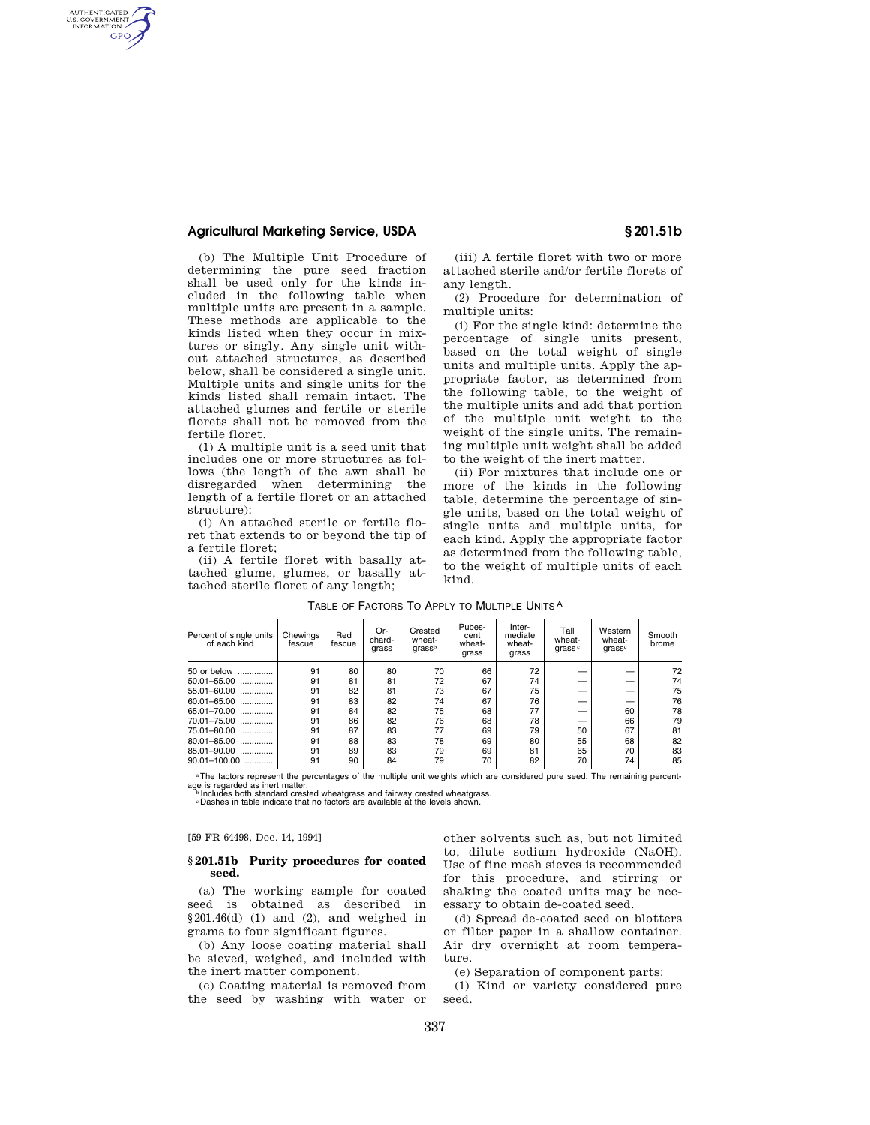# **Agricultural Marketing Service, USDA § 201.51b**

AUTHENTICATED<br>U.S. GOVERNMENT<br>INFORMATION **GPO** 

> (b) The Multiple Unit Procedure of determining the pure seed fraction shall be used only for the kinds included in the following table when multiple units are present in a sample. These methods are applicable to the kinds listed when they occur in mixtures or singly. Any single unit without attached structures, as described below, shall be considered a single unit. Multiple units and single units for the kinds listed shall remain intact. The attached glumes and fertile or sterile florets shall not be removed from the fertile floret.

> (1) A multiple unit is a seed unit that includes one or more structures as follows (the length of the awn shall be disregarded when determining the length of a fertile floret or an attached structure):

(i) An attached sterile or fertile floret that extends to or beyond the tip of a fertile floret;

(ii) A fertile floret with basally attached glume, glumes, or basally attached sterile floret of any length;

(iii) A fertile floret with two or more attached sterile and/or fertile florets of any length.

(2) Procedure for determination of multiple units:

(i) For the single kind: determine the percentage of single units present, based on the total weight of single units and multiple units. Apply the appropriate factor, as determined from the following table, to the weight of the multiple units and add that portion of the multiple unit weight to the weight of the single units. The remaining multiple unit weight shall be added to the weight of the inert matter.

(ii) For mixtures that include one or more of the kinds in the following table, determine the percentage of single units, based on the total weight of single units and multiple units, for each kind. Apply the appropriate factor as determined from the following table, to the weight of multiple units of each kind.

| Percent of single units<br>of each kind | Chewings<br>fescue | Red<br>fescue | Or-<br>chard-<br>grass | Crested<br>wheat-<br>qrassb | Pubes-<br>cent<br>wheat-<br>grass | Inter-<br>mediate<br>wheat-<br>grass | Tall<br>wheat-<br>qrass <sup>c</sup> | Western<br>wheat-<br>qrassc | Smooth<br>brome |
|-----------------------------------------|--------------------|---------------|------------------------|-----------------------------|-----------------------------------|--------------------------------------|--------------------------------------|-----------------------------|-----------------|
| 50 or below                             | 91                 | 80            | 80                     | 70                          | 66                                | 72                                   |                                      |                             | 72              |
| 50.01-55.00<br>                         | 91                 | 81            | 81                     | 72                          | 67                                | 74                                   |                                      |                             | 74              |
| 55.01-60.00<br>.                        | 91                 | 82            | 81                     | 73                          | 67                                | 75                                   |                                      |                             | 75              |
| 60.01-65.00<br>                         | 91                 | 83            | 82                     | 74                          | 67                                | 76                                   |                                      |                             | 76              |
| 65.01-70.00<br>.                        | 91                 | 84            | 82                     | 75                          | 68                                | 77                                   |                                      | 60                          | 78              |
| 70.01-75.00                             | 91                 | 86            | 82                     | 76                          | 68                                | 78                                   |                                      | 66                          | 79              |
| 75.01-80.00<br>                         | 91                 | 87            | 83                     | 77                          | 69                                | 79                                   | 50                                   | 67                          | 81              |
| 80.01-85.00<br>                         | 91                 | 88            | 83                     | 78                          | 69                                | 80                                   | 55                                   | 68                          | 82              |
| 85.01-90.00                             | 91                 | 89            | 83                     | 79                          | 69                                | 81                                   | 65                                   | 70                          | 83              |
| $90.01 - 100.00$                        | 91                 | 90            | 84                     | 79                          | 70                                | 82                                   | 70                                   | 74                          | 85              |

TABLE OF FACTORS TO APPLY TO MULTIPLE UNITS A

aThe factors represent the percentages of the multiple unit weights which are considered pure seed. The remaining percentage is regarded as inert matter.<br><sup>b</sup> Includes both standard crested wheatgrass and fairway crested wheatgrass.<br>Dashes in table indicate that no factors are available at the levels shown.

#### [59 FR 64498, Dec. 14, 1994]

#### **§ 201.51b Purity procedures for coated seed.**

(a) The working sample for coated seed is obtained as described in  $§201.46(d)$  (1) and (2), and weighed in grams to four significant figures.

(b) Any loose coating material shall be sieved, weighed, and included with the inert matter component.

(c) Coating material is removed from the seed by washing with water or other solvents such as, but not limited to, dilute sodium hydroxide (NaOH). Use of fine mesh sieves is recommended for this procedure, and stirring or shaking the coated units may be necessary to obtain de-coated seed.

(d) Spread de-coated seed on blotters or filter paper in a shallow container. Air dry overnight at room temperature.

(e) Separation of component parts:

(1) Kind or variety considered pure seed.